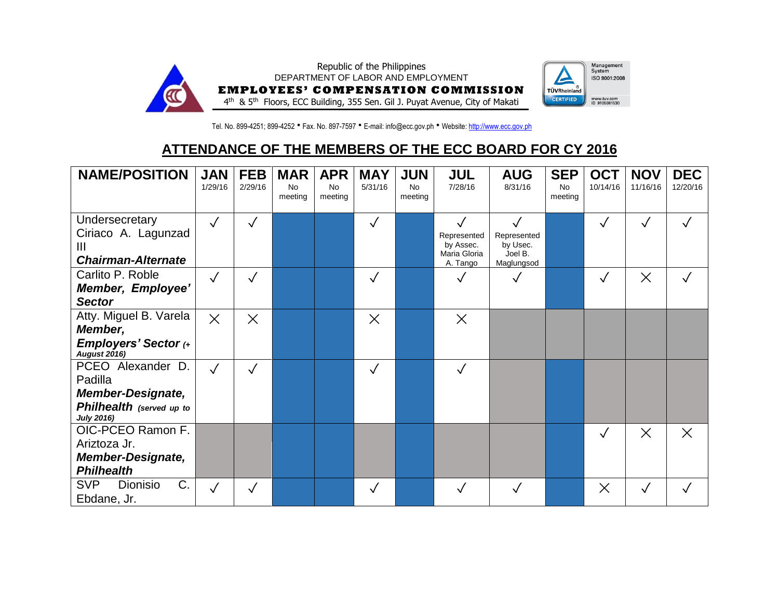

Tel. No. 899-4251; 899-4252 • Fax. No. 897-7597 • E-mail: info@ecc.gov.ph • Website[: http://www.ecc.gov.ph](http://www.ecc.gov.ph/)

## **ATTENDANCE OF THE MEMBERS OF THE ECC BOARD FOR CY 2016**

| <b>NAME/POSITION</b>                                                                                      | <b>JAN</b><br>1/29/16 | <b>FEB</b><br>2/29/16 | <b>MAR</b><br><b>No</b><br>meeting | <b>APR</b><br><b>No</b><br>meeting | <b>MAY</b><br>5/31/16 | <b>JUN</b><br><b>No</b><br>meeting | <b>JUL</b><br>7/28/16                                                | <b>AUG</b><br>8/31/16                                            | <b>SEP</b><br><b>No</b><br>meeting | <b>OCT</b><br>10/14/16 | <b>NOV</b><br>11/16/16 | <b>DEC</b><br>12/20/16 |
|-----------------------------------------------------------------------------------------------------------|-----------------------|-----------------------|------------------------------------|------------------------------------|-----------------------|------------------------------------|----------------------------------------------------------------------|------------------------------------------------------------------|------------------------------------|------------------------|------------------------|------------------------|
| Undersecretary<br>Ciriaco A. Lagunzad<br>Ш<br><b>Chairman-Alternate</b>                                   | $\sqrt{}$             | ✓                     |                                    |                                    |                       |                                    | $\checkmark$<br>Represented<br>by Assec.<br>Maria Gloria<br>A. Tango | $\checkmark$<br>Represented<br>by Usec.<br>Joel B.<br>Maglungsod |                                    |                        | $\checkmark$           |                        |
| Carlito P. Roble<br>Member, Employee'<br><b>Sector</b>                                                    | $\sqrt{}$             |                       |                                    |                                    |                       |                                    |                                                                      |                                                                  |                                    |                        | $\times$               |                        |
| Atty. Miguel B. Varela<br>Member,<br><b>Employers' Sector (+</b><br><b>August 2016)</b>                   | $\times$              | $\times$              |                                    |                                    | $\times$              |                                    | $\times$                                                             |                                                                  |                                    |                        |                        |                        |
| PCEO Alexander D.<br>Padilla<br><b>Member-Designate,</b><br>Philhealth (served up to<br><b>July 2016)</b> | $\checkmark$          |                       |                                    |                                    |                       |                                    |                                                                      |                                                                  |                                    |                        |                        |                        |
| OIC-PCEO Ramon F.<br>Ariztoza Jr.<br><b>Member-Designate,</b><br><b>Philhealth</b>                        |                       |                       |                                    |                                    |                       |                                    |                                                                      |                                                                  |                                    |                        | $\times$               | $\times$               |
| C.<br><b>SVP</b><br>Dionisio<br>Ebdane, Jr.                                                               | $\checkmark$          |                       |                                    |                                    |                       |                                    |                                                                      |                                                                  |                                    | $\times$               | $\checkmark$           |                        |